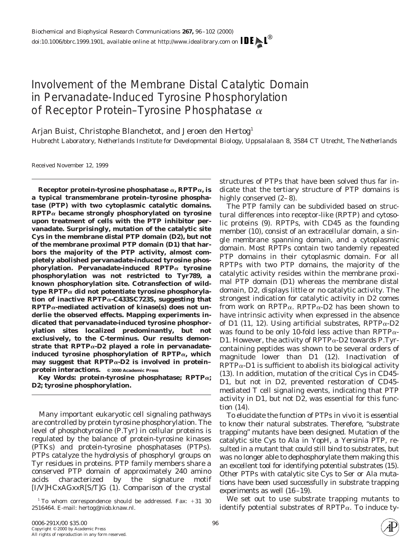# Involvement of the Membrane Distal Catalytic Domain in Pervanadate-Induced Tyrosine Phosphorylation of Receptor Protein–Tyrosine Phosphatase  $\alpha$

Arjan Buist, Christophe Blanchetot, and Jeroen den Hertog<sup>1</sup>

*Hubrecht Laboratory, Netherlands Institute for Developmental Biology, Uppsalalaan 8, 3584 CT Utrecht, The Netherlands*

Received November 12, 1999

**Receptor protein-tyrosine phosphatase**  $\alpha$ , **RPTP** $\alpha$ , is **a typical transmembrane protein–tyrosine phosphatase (PTP) with two cytoplasmic catalytic domains. RPTP**<sup>a</sup> **became strongly phosphorylated on tyrosine upon treatment of cells with the PTP inhibitor pervanadate. Surprisingly, mutation of the catalytic site Cys in the membrane distal PTP domain (D2), but not of the membrane proximal PTP domain (D1) that harbors the majority of the PTP activity, almost completely abolished pervanadate-induced tyrosine phosphorylation. Pervanadate-induced RPTP**<sup>a</sup> **tyrosine phosphorylation was not restricted to Tyr789, a known phosphorylation site. Cotransfection of wildtype RPTP**<sup>a</sup> **did not potentiate tyrosine phosphorylation of inactive RPTP**a**-C433SC723S, suggesting that RPTP**a**-mediated activation of kinase(s) does not underlie the observed effects. Mapping experiments indicated that pervanadate-induced tyrosine phosphorylation sites localized predominantly, but not exclusively, to the C-terminus. Our results demonstrate that RPTP**a**-D2 played a role in pervanadateinduced tyrosine phosphorylation of RPTP**a**, which may suggest that RPTP**a**-D2 is involved in protein– protein interactions. © 2000 Academic Press**

*Key Words:* **protein-tyrosine phosphatase; RPTP**a**; D2; tyrosine phosphorylation.**

Many important eukaryotic cell signaling pathways are controlled by protein tyrosine phosphorylation. The level of phosphotyrosine (P.Tyr) in cellular proteins is regulated by the balance of protein-tyrosine kinases (PTKs) and protein-tyrosine phosphatases (PTPs). PTPs catalyze the hydrolysis of phosphoryl groups on Tyr residues in proteins. PTP family members share a conserved PTP domain of approximately 240 amino acids characterized by the signature motif [I/V]HCxAGxxR[S/T]G (1). Comparison of the crystal structures of PTPs that have been solved thus far indicate that the tertiary structure of PTP domains is highly conserved  $(2-8)$ .

The PTP family can be subdivided based on structural differences into receptor-like (RPTP) and cytosolic proteins (9). RPTPs, with CD45 as the founding member (10), consist of an extracellular domain, a single membrane spanning domain, and a cytoplasmic domain. Most RPTPs contain two tandemly repeated PTP domains in their cytoplasmic domain. For all RPTPs with two PTP domains, the majority of the catalytic activity resides within the membrane proximal PTP domain (D1) whereas the membrane distal domain, D2, displays little or no catalytic activity. The strongest indication for catalytic activity in D2 comes from work on RPTP $\alpha$ . RPTP $\alpha$ -D2 has been shown to have intrinsic activity when expressed in the absence of D1 (11, 12). Using artificial substrates, RPTP $\alpha$ -D2 was found to be only 10-fold less active than RPTP $\alpha$ -D1. However, the activity of  $RPTP\alpha$ -D2 towards P.Tyrcontaining peptides was shown to be several orders of magnitude lower than D1 (12). Inactivation of  $RPTP\alpha$ -D1 is sufficient to abolish its biological activity (13). In addition, mutation of the critical Cys in CD45- D1, but not in D2, prevented restoration of CD45 mediated T cell signaling events, indicating that PTP activity in D1, but not D2, was essential for this function (14).

To elucidate the function of PTPs *in vivo* it is essential to know their natural substrates. Therefore, "substrate trapping" mutants have been designed. Mutation of the catalytic site Cys to Ala in YopH, a Yersinia PTP, resulted in a mutant that could still bind to substrates, but was no longer able to dephosphorylate them making this an excellent tool for identifying potential substrates (15). Other PTPs with catalytic site Cys to Ser or Ala mutations have been used successfully in substrate trapping experiments as well (16–19).

We set out to use substrate trapping mutants to identify potential substrates of RPTP $\alpha$ . To induce ty-



 $1$  To whom correspondence should be addressed. Fax:  $+31$  30 2516464. E-mail: hertog@niob.knaw.nl.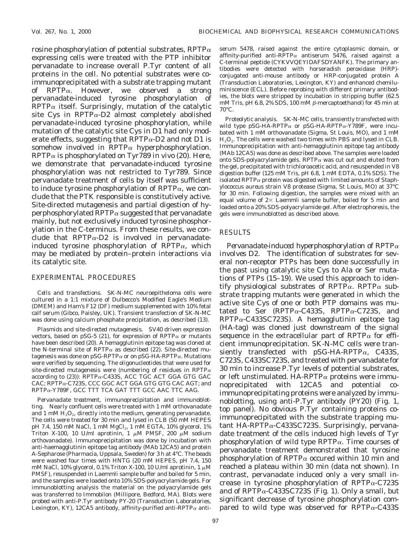rosine phosphorylation of potential substrates, RPTP $\alpha$ expressing cells were treated with the PTP inhibitor pervanadate to increase overall P.Tyr content of all proteins in the cell. No potential substrates were coimmunoprecipitated with a substrate trapping mutant of RPTP $\alpha$ . However, we observed a strong pervanadate-induced tyrosine phosphorylation of  $RPTP\alpha$  itself. Surprisingly, mutation of the catalytic site Cys in RPTP $\alpha$ -D2 almost completely abolished pervanadate-induced tyrosine phosphorylation, while mutation of the catalytic site Cys in D1 had only moderate effects, suggesting that  $RPTP\alpha-D2$  and not D1 is somehow involved in RPTP $\alpha$  hyperphosphorylation. RPTP<sup>a</sup> is phosphorylated on Tyr789 *in vivo* (20). Here, we demonstrate that pervanadate-induced tyrosine phosphorylation was not restricted to Tyr789. Since pervanadate treatment of cells by itself was sufficient to induce tyrosine phosphorylation of  $RPTP\alpha$ , we conclude that the PTK responsible is constitutively active. Site-directed mutagenesis and partial digestion of hyperphosphorylated RPTP $\alpha$  suggested that pervanadate mainly, but not exclusively induced tyrosine phosphorylation in the C-terminus. From these results, we conclude that  $RPTP\alpha-D2$  is involved in pervanadateinduced tyrosine phosphorylation of  $RPTP\alpha$ , which may be mediated by protein–protein interactions via its catalytic site.

### EXPERIMENTAL PROCEDURES

*Cells and transfections.* SK-N-MC neuroepitheloma cells were cultured in a 1:1 mixture of Dulbecco's Modified Eagle's Medium (DMEM) and Ham's F12 (DF) medium supplemented with 10% fetal calf serum (Gibco, Paisley, UK). Transient transfection of SK-N-MC was done using calcium phosphate precipitation, as described (13).

*Plasmids and site-directed mutagenesis.* SV40 driven expression vectors, based on pSG-5 (21), for expression of  $RPTP\alpha$  or mutants have been described (20). A hemagglutinin epitope tag was cloned at the N-terminal site of RPTP $\alpha$  as described (22). Site-directed mutagenesis was done on pSG-RPTP $\alpha$  or on pSG-HA-RPTP $\alpha$ . Mutations were verified by sequencing. The oligonucleotides that were used for site-directed mutagenesis were (numbering of residues in RPTP $\alpha$ according to  $(23)$ : RPTP $\alpha$ -C433S, ACC TGC ACT GGA GTG GAC CAC; RPTPa-C723S, CCC GGC ACT GGA GTG GTG CAC AGT; and RPTPa-Y789F, GCC TTT TCA GAT TTT GCC AAC TTC AAG.

*Pervanadate treatment, immunoprecipitation and immunoblotting.* Nearly confluent cells were treated with 1 mM orthovanadate and 1 mM  $H<sub>2</sub>O<sub>2</sub>$ , directly into the medium, generating pervanadate. The cells were treated for 30 min and lysed in CLB (50 mM HEPES pH 7.4, 150 mM NaCl, 1 mM MgCl<sub>2</sub>, 1 mM EGTA, 10% glycerol, 1% Triton X-100, 10 U/ml aprotinin, 1  $\mu$ M PMSF, 200  $\mu$ M sodium orthovanadate). Immunoprecipitation was done by incubation with anti-haemagglutinin epitope tag antibody (MAb 12CA5) and protein A-Sepharose (Pharmacia, Uppsala, Sweden) for 3 h at 4°C. The beads were washed four times with HNTG (20 mM HEPES, pH 7.4, 150 mM NaCl, 10% glycerol, 0.1% Triton X-100, 10 U/ml aprotinin, 1  $\mu$ M PMSF), resuspended in Laemmli sample buffer and boiled for 5 min, and the samples were loaded onto 10% SDS-polyacrylamide gels. For immunoblotting analysis the material on the polyacrylamide gels was transferred to Immobilon (Millipore, Bedford, MA). Blots were probed with anti-P.Tyr antibody PY-20 (Transduction Laboratories, Lexington, KY), 12CA5 antibody, affinity-purified anti-RPTP $\alpha$  antiserum 5478, raised against the entire cytoplasmic domain, or affinity-purified anti-RPTP $\alpha$  antiserum 5476, raised against a C-terminal peptide (CYKVVQEYIDAFSDYANFK). The primary antibodies were detected with horseradish peroxidase (HRP) conjugated anti-mouse antibody or HRP-conjugated protein A (Transduction Laboratories, Lexington, KY) and enhanced chemiluminiscence (ECL). Before reprobing with different primary antibodies, the blots were stripped by incubation in stripping buffer (62.5 mM Tris, pH 6.8, 2% SDS, 100 mM  $\beta$ -mercaptoethanol) for 45 min at  $70^{\circ}$ C.

*Proteolytic analysis.* SK-N-MC cells, transiently transfected with wild type pSG-HA-RPTP $\alpha$  or pSG-HA-RPTP $\alpha$ -Y789F, were incubated with 1 mM orthovanadate (Sigma, St Louis, MO), and 1 mM H<sub>2</sub>O<sub>2</sub>. The cells were washed two times with PBS and lysed in CLB. Immunoprecipitation with anti-hemagglutinin epitope tag antibody (MAb 12CA5) was done as described above. The samples were loaded onto SDS-polyacrylamide gels. RPTP $\alpha$  was cut out and eluted from the gel, precipitated with trichloroacetic acid, and resuspended in V8 digestion buffer (125 mM Tris, pH 6.8, 1 mM EDTA, 0.1% SDS). The isolated RPTP<sup>a</sup> protein was digested with limited amounts of *Staphylococcus aureus* strain V8 protease (Sigma, St Louis, MO) at 37°C for 30 min. Following digestion, the samples were mixed with an equal volume of  $2\times$  Laemmli sample buffer, boiled for 5 min and loaded onto a 20% SDS-polyacrylamide gel. After electrophoresis, the gels were immunoblotted as described above.

## RESULTS

*Pervanadate-induced hyperphosphorylation of RPTP*<sup>a</sup> *involves D2.* The identification of substrates for several non-receptor PTPs has been done successfully in the past using catalytic site Cys to Ala or Ser mutations of PTPs (15–19). We used this approach to identify physiological substrates of RPTP $\alpha$ . RPTP $\alpha$  substrate trapping mutants were generated in which the active site Cys of one or both PTP domains was mutated to Ser (RPTP $\alpha$ -C433S, RPTP $\alpha$ -C723S, and  $RPTP\alpha$ -C433SC723S). A hemagglutinin epitope tag (HA-tag) was cloned just downstream of the signal sequence in the extracellular part of RPTP $\alpha$  for efficient immunoprecipitation. SK-N-MC cells were transiently transfected with  $pSG-HA-RPTP\alpha$ , C433S, C723S, C433SC723S, and treated with pervanadate for 30 min to increase P.Tyr levels of potential substrates, or left unstimulated. HA-RPTP $\alpha$  proteins were immunoprecipitated with 12CA5 and potential coimmunoprecipitating proteins were analyzed by immunoblotting, using anti-P.Tyr antibody (PY20) (Fig. 1, top panel). No obvious P.Tyr containing proteins coimmunoprecipitated with the substrate trapping mutant  $HA-RPTP\alpha-C433SC723S$ . Surprisingly, pervanadate treatment of the cells induced high levels of Tyr phosphorylation of wild type  $RPTP\alpha$ . Time courses of pervanadate treatment demonstrated that tyrosine phosphorylation of RPTP $\alpha$  occured within 10 min and reached a plateau within 30 min (data not shown). In contrast, pervanadate induced only a very small increase in tyrosine phosphorylation of  $RPTP\alpha$ -C723S and of  $RPTP\alpha$ -C433SC723S (Fig. 1). Only a small, but significant decrease of tyrosine phosphorylation compared to wild type was observed for  $RPTP\alpha$ -C433S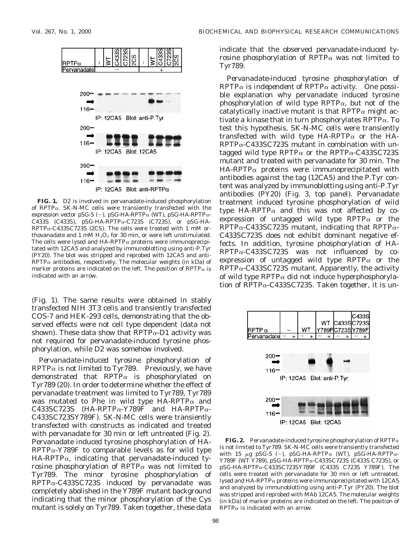

**FIG. 1.** D2 is involved in pervanadate-induced phosphorylation of RPTP $\alpha$ . SK-N-MC cells were transiently transfected with the expression vector pSG-5 (-), pSG-HA-RPTP $\alpha$  (WT), pSG-HA-RPTP $\alpha$ -C433S (C433S), pSG-HA-RPTPa-C723S (C723S), or pSG-HA- $RPTP\alpha$ -C433SC723S (2CS). The cells were treated with 1 mM orthovanadate and 1 mM  $H<sub>2</sub>O<sub>2</sub>$  for 30 min, or were left unstimulated. The cells were lysed and  $HA-RPTP\alpha$  proteins were immunoprecipitated with 12CA5 and analyzed by immunoblotting using anti-P.Tyr (PY20). The blot was stripped and reprobed with 12CA5 and anti- $RPTP\alpha$  antibodies, respectively. The molecular weights (in kDa) of marker proteins are indicated on the left. The position of  $\text{RPTP}\alpha$  is indicated with an arrow.

(Fig. 1). The same results were obtained in stably transfected NIH 3T3 cells and transiently transfected COS-7 and HEK-293 cells, demonstrating that the observed effects were not cell type dependent (data not shown). These data show that  $RPTP\alpha-D1$  activity was not required for pervanadate-induced tyrosine phosphorylation, while D2 was somehow involved.

*Pervanadate-induced tyrosine phosphorylation of RPTP*<sup>a</sup> *is not limited to Tyr789.* Previously, we have demonstrated that  $RPTP\alpha$  is phosphorylated on Tyr789 (20). In order to determine whether the effect of pervanadate treatment was limited to Tyr789, Tyr789 was mutated to Phe in wild type HA-RPTP $\alpha$  and C433SC723S (HA-RPTP $\alpha$ -Y789F and HA-RPTP $\alpha$ -C433SC723SY789F). SK-N-MC cells were transiently transfected with constructs as indicated and treated with pervanadate for 30 min or left untreated (Fig. 2). Pervanadate induced tyrosine phosphorylation of HA- $RPTP\alpha$ -Y789F to comparable levels as for wild type  $HA-RPTP\alpha$ , indicating that pervanadate-induced tyrosine phosphorylation of RPTP $\alpha$  was not limited to Tyr789. The minor tyrosine phosphorylation of  $RPTP\alpha$ -C433SC723S induced by pervanadate was completely abolished in the Y789F mutant background indicating that the minor phosphorylation of the Cys mutant is solely on Tyr789. Taken together, these data

indicate that the observed pervanadate-induced tyrosine phosphorylation of RPTP $\alpha$  was not limited to Tyr789.

*Pervanadate-induced tyrosine phosphorylation of RPTP*<sup>a</sup> *is independent of RPTP*<sup>a</sup> *activity.* One possible explanation why pervanadate induced tyrosine phosphorylation of wild type RPTP $\alpha$ , but not of the catalytically inactive mutant is that RPTP $\alpha$  might activate a kinase that in turn phosphorylates  $RPTP\alpha$ . To test this hypothesis, SK-N-MC cells were transiently transfected with wild type HA-RPTP $\alpha$  or the HA- $RPTP\alpha$ -C433SC723S mutant in combination with untagged wild type RPTP $\alpha$  or the RPTP $\alpha$ -C433SC723S mutant and treated with pervanadate for 30 min. The  $HA-RPTP\alpha$  proteins were immunoprecipitated with antibodies against the tag (12CA5) and the P.Tyr content was analyzed by immunoblotting using anti-P.Tyr antibodies (PY20) (Fig. 3, top panel). Pervanadate treatment induced tyrosine phosphorylation of wild type HA-RPTP $\alpha$  and this was not affected by coexpression of untagged wild type RPTP $\alpha$  or the  $RPTP\alpha$ -C433SC723S mutant, indicating that RPTP $\alpha$ -C433SC723S does not exhibit dominant negative effects. In addition, tyrosine phosphorylation of HA- $RPTP\alpha$ -C433SC723S was not influenced by coexpression of untagged wild type RPTP $\alpha$  or the  $RPTP\alpha$ -C433SC723S mutant. Apparently, the activity of wild type RPTP $\alpha$  did not induce hyperphosphorylation of RPTP $\alpha$ -C433SC723S. Taken together, it is un-



IP: 12CA5 Blot: 12CA5

**FIG. 2.** Pervanadate-induced tyrosine phosphorylation of  $RPTP\alpha$ is not limited to Tyr789. SK-N-MC cells were transiently transfected with 15  $\mu$ g pSG-5 (-), pSG-HA-RPTP $\alpha$  (WT), pSG-HA-RPTP $\alpha$ -Y789F (WT Y789), pSG-HA-RPTPa-C433SC723S (C433S C723S), or pSG-HA-RPTPa-C433SC723SY789F (C433S C723S Y789F). The cells were treated with pervanadate for 30 min or left untreated, lysed and HA-RPTP $\alpha$  proteins were immunoprecipitated with 12CA5 and analyzed by immunoblotting using anti-P.Tyr (PY20). The blot was stripped and reprobed with MAb 12CA5. The molecular weights (in kDa) of marker proteins are indicated on the left. The position of  $RPTP\alpha$  is indicated with an arrow.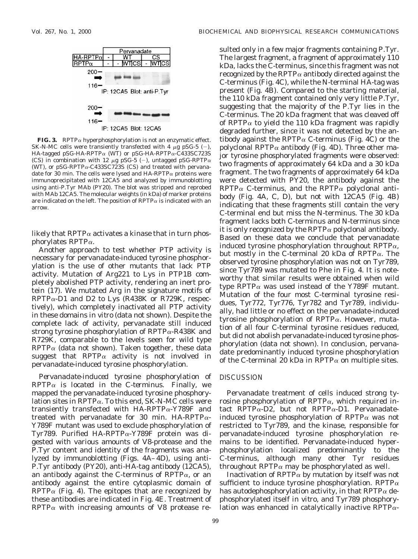sulted only in a few major fragments containing P.Tyr.



**FIG. 3.** RPTP $\alpha$  hyperphosphorylation is not an enzymatic effect. SK-N-MC cells were transiently transfected with 4  $\mu$ g pSG-5 (-), HA-tagged pSG-HA-RPTP<sup>a</sup> (WT) or pSG-HA-RPTPa-C433SC723S (CS) in combination with 12  $\mu$ g pSG-5 (-), untagged pSG-RPTP $\alpha$ (WT), or pSG-RPTP $\alpha$ -C433SC723S (CS) and treated with pervanadate for 30 min. The cells were lysed and  $HA-RPTP\alpha$  proteins were immunoprecipitated with 12CA5 and analyzed by immunoblotting using anti-P.Tyr MAb (PY20). The blot was stripped and reprobed with MAb 12CA5. The molecular weights (in kDa) of marker proteins are indicated on the left. The position of  $\text{RPTP}\alpha$  is indicated with an arrow.

likely that RPTP $\alpha$  activates a kinase that in turn phosphorylates RPTP $\alpha$ .

Another approach to test whether PTP activity is necessary for pervanadate-induced tyrosine phosphorylation is the use of other mutants that lack PTP activity. Mutation of Arg221 to Lys in PTP1B completely abolished PTP activity, rendering an inert protein (17). We mutated Arg in the signature motifs of  $RPTP\alpha$ -D1 and D2 to Lys (R438K or R729K, respectively), which completely inactivated all PTP activity in these domains *in vitro* (data not shown). Despite the complete lack of activity, pervanadate still induced strong tyrosine phosphorylation of  $RPTP\alpha$ -R438K and R729K, comparable to the levels seen for wild type  $RPTP\alpha$  (data not shown). Taken together, these data suggest that RPTP $\alpha$  activity is not involved in pervanadate-induced tyrosine phosphorylation.

*Pervanadate-induced tyrosine phosphorylation of RPTP*<sup>a</sup> *is located in the C-terminus.* Finally, we mapped the pervanadate-induced tyrosine phosphorylation sites in  $\text{RPTP}\alpha$ . To this end, SK-N-MC cells were transiently transfected with  $HA-RPTP\alpha$ -Y789F and treated with pervanadate for 30 min. HA-RPTP $\alpha$ -Y789F mutant was used to exclude phosphorylation of Tyr789. Purified HA-RPTPa-Y789F protein was digested with various amounts of V8-protease and the P.Tyr content and identity of the fragments was analyzed by immunoblotting (Figs. 4A–4D), using anti-P.Tyr antibody (PY20), anti-HA-tag antibody (12CA5), an antibody against the C-terminus of RPTP $\alpha$ , or an antibody against the entire cytoplasmic domain of RPTP $\alpha$  (Fig. 4). The epitopes that are recognized by these antibodies are indicated in Fig. 4E. Treatment of  $RPTP\alpha$  with increasing amounts of V8 protease re-

The largest fragment, a fragment of approximately 110 kDa, lacks the C-terminus, since this fragment was not recognized by the RPTP $\alpha$  antibody directed against the C-terminus (Fig. 4C), while the N-terminal HA-tag was present (Fig. 4B). Compared to the starting material, the 110 kDa fragment contained only very little P.Tyr, suggesting that the majority of the P.Tyr lies in the C-terminus. The 20 kDa fragment that was cleaved off of RPTP $\alpha$  to yield the 110 kDa fragment was rapidly degraded further, since it was not detected by the antibody against the RPTP $\alpha$  C-terminus (Fig. 4C) or the polyclonal RPTP $\alpha$  antibody (Fig. 4D). Three other major tyrosine phosphorylated fragments were observed: two fragments of approximately 64 kDa and a 30 kDa fragment. The two fragments of approximately 64 kDa were detected with PY20, the antibody against the  $RPTP\alpha$  C-terminus, and the  $RPTP\alpha$  polyclonal antibody (Fig. 4A, C, D), but not with 12CA5 (Fig. 4B) indicating that these fragments still contain the very C-terminal end but miss the N-terminus. The 30 kDa fragment lacks both C-terminus and N-terminus since it is only recognized by the  $\text{RPTP}\alpha$  polyclonal antibody. Based on these data we conclude that pervanadate induced tyrosine phosphorylation throughout RPTP $\alpha$ , but mostly in the C-terminal 20 kDa of RPTP $\alpha$ . The observed tyrosine phosphorylation was not on Tyr789, since Tyr789 was mutated to Phe in Fig. 4. It is noteworthy that similar results were obtained when wild type RPTP $\alpha$  was used instead of the Y789F mutant. Mutation of the four most C-terminal tyrosine residues, Tyr772, Tyr776, Tyr782 and Tyr789, individually, had little or no effect on the pervanadate-induced tyrosine phosphorylation of RPTP $\alpha$ . However, mutation of all four C-terminal tyrosine residues reduced, but did not abolish pervanadate-induced tyrosine phosphorylation (data not shown). In conclusion, pervanadate predominantly induced tyrosine phosphorylation of the C-terminal 20 kDa in RPTP $\alpha$  on multiple sites.

#### DISCUSSION

Pervanadate treatment of cells induced strong tyrosine phosphorylation of RPTP $\alpha$ , which required intact RPTP $\alpha$ -D2, but not RPTP $\alpha$ -D1. Pervanadateinduced tyrosine phosphorylation of RPTP $\alpha$  was not restricted to Tyr789, and the kinase, responsible for pervanadate-induced tyrosine phosphorylation remains to be identified. Pervanadate-induced hyperphosphorylation localized predominantly to the C-terminus, although many other Tyr residues throughout RPTP $\alpha$  may be phosphorylated as well.

Inactivation of  $RPTP\alpha$  by mutation by itself was not sufficient to induce tyrosine phosphorylation. RPTP $\alpha$ has autodephosphorylation activity, in that RPTP $\alpha$  dephosphorylated itself *in vitro,* and Tyr789 phosphorylation was enhanced in catalytically inactive RPTP $\alpha$ -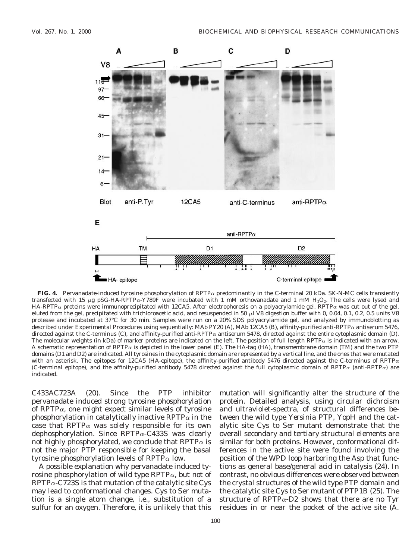

**FIG. 4.** Pervanadate-induced tyrosine phosphorylation of RPTP<sup>a</sup> predominantly in the C-terminal 20 kDa. SK-N-MC cells transiently transfected with 15  $\mu$ g pSG-HA-RPTP $\alpha$ -Y789F were incubated with 1 mM orthovanadate and 1 mM H<sub>2</sub>O<sub>2</sub>. The cells were lysed and HA-RPTP $\alpha$  proteins were immunoprecipitated with 12CA5. After electrophoresis on a polyacrylamide gel, RPTP $\alpha$  was cut out of the gel, eluted from the gel, precipitated with trichloroacetic acid, and resuspended in 50  $\mu$ l V8 digestion buffer with 0, 0.04, 0.1, 0.2, 0.5 units V8 protease and incubated at 37°C for 30 min. Samples were run on a 20% SDS polyacrylamide gel, and analyzed by immunoblotting as described under Experimental Procedures using sequentially: MAb PY20 (A), MAb 12CA5 (B), affinity-purified anti-RPTP<sup>a</sup> antiserum 5476, directed against the C-terminus (C), and affinity-purified anti-RPTP<sub>a</sub> antiserum 5478, directed against the entire cytoplasmic domain (D). The molecular weights (in kDa) of marker proteins are indicated on the left. The position of full length RPTP $\alpha$  is indicated with an arrow. A schematic representation of RPTP $\alpha$  is depicted in the lower panel (E). The HA-tag (HA), transmembrane domain (TM) and the two PTP domains (D1 and D2) are indicated. All tyrosines in the cytoplasmic domain are represented by a vertical line, and the ones that were mutated with an asterisk. The epitopes for 12CA5 (HA-epitope), the affinity-purified antibody 5476 directed against the C-terminus of RPTP $\alpha$ (C-terminal epitope), and the affinity-purified antibody 5478 directed against the full cytoplasmic domain of RPTP $\alpha$  (anti-RPTP $\alpha$ ) are indicated.

C433AC723A (20). Since the PTP inhibitor pervanadate induced strong tyrosine phosphorylation of RPTP $\alpha$ , one might expect similar levels of tyrosine phosphorylation in catalytically inactive RPTP $\alpha$  in the case that RPTP $\alpha$  was solely responsible for its own dephosphorylation. Since  $RPTP\alpha$ -C433S was clearly not highly phosphorylated, we conclude that RPTP $\alpha$  is not the major PTP responsible for keeping the basal tyrosine phosphorylation levels of  $RPTP\alpha$  low.

A possible explanation why pervanadate induced tyrosine phosphorylation of wild type  $RPTP\alpha$ , but not of  $RPTP\alpha$ -C723S is that mutation of the catalytic site Cys may lead to conformational changes. Cys to Ser mutation is a single atom change, i.e., substitution of a sulfur for an oxygen. Therefore, it is unlikely that this

mutation will significantly alter the structure of the protein. Detailed analysis, using circular dichroism and ultraviolet-spectra, of structural differences between the wild type *Yersinia* PTP, YopH and the catalytic site Cys to Ser mutant demonstrate that the overall secondary and tertiary structural elements are similar for both proteins. However, conformational differences in the active site were found involving the position of the WPD loop harboring the Asp that functions as general base/general acid in catalysis (24). In contrast, no obvious differences were observed between the crystal structures of the wild type PTP domain and the catalytic site Cys to Ser mutant of PTP1B (25). The structure of RPTP $\alpha$ -D2 shows that there are no Tyr residues in or near the pocket of the active site (A.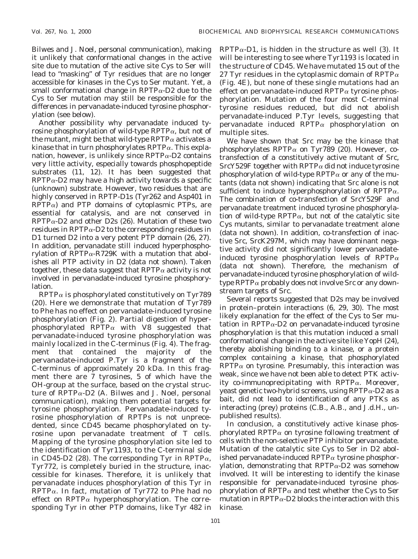Bilwes and J. Noel, personal communication), making it unlikely that conformational changes in the active site due to mutation of the active site Cys to Ser will lead to "masking" of Tyr residues that are no longer accessible for kinases in the Cys to Ser mutant. Yet, a small conformational change in  $RPTP\alpha-D2$  due to the Cys to Ser mutation may still be responsible for the differences in pervanadate-induced tyrosine phosphorylation (see below).

Another possibility why pervanadate induced tyrosine phosphorylation of wild-type RPTP $\alpha$ , but not of the mutant, might be that wild-type RPTP $\alpha$  activates a kinase that in turn phosphorylates  $RPTP\alpha$ . This explanation, however, is unlikely since  $RPTP\alpha-D2$  contains very little activity, especially towards phosphopeptide substrates (11, 12). It has been suggested that  $RPTP\alpha-D2$  may have a high activity towards a specific (unknown) substrate. However, two residues that are highly conserved in RPTP-D1s (Tyr262 and Asp401 in  $RPTP\alpha$ ) and PTP domains of cytoplasmic PTPs, are essential for catalysis, and are not conserved in  $RPTP\alpha-D2$  and other D2s (26). Mutation of these two residues in RPTP $\alpha$ -D2 to the corresponding residues in D1 turned D2 into a very potent PTP domain (26, 27). In addition, pervanadate still induced hyperphosphorylation of RPTP $\alpha$ -R729K with a mutation that abolishes all PTP activity in D2 (data not shown). Taken together, these data suggest that  $RPTP\alpha$  activity is not involved in pervanadate-induced tyrosine phosphorylation.

 $RPTP\alpha$  is phosphorylated constitutively on Tyr789 (20). Here we demonstrate that mutation of Tyr789 to Phe has no effect on pervanadate-induced tyrosine phosphorylation (Fig. 2). Partial digestion of hyperphosphorylated RPTP $\alpha$  with V8 suggested that pervanadate-induced tyrosine phosphorylation was mainly localized in the C-terminus (Fig. 4). The fragment that contained the majority of the pervanadate-induced P.Tyr is a fragment of the C-terminus of approximately 20 kDa. In this fragment there are 7 tyrosines, 5 of which have the OH-group at the surface, based on the crystal structure of RPTP $\alpha$ -D2 (A. Bilwes and J. Noel, personal communication), making them potential targets for tyrosine phosphorylation. Pervanadate-induced tyrosine phosphorylation of RPTPs is not unprecedented, since CD45 became phosphorylated on tyrosine upon pervanadate treatment of T cells. Mapping of the tyrosine phosphorylation site led to the identification of Tyr1193, to the C-terminal side in CD45-D2 (28). The corresponding Tyr in RPTP $\alpha$ , Tyr772, is completely buried in the structure, inaccessible for kinases. Therefore, it is unlikely that pervanadate induces phosphorylation of this Tyr in  $RPTP\alpha$ . In fact, mutation of Tyr772 to Phe had no effect on RPTP $\alpha$  hyperphosphorylation. The corresponding Tyr in other PTP domains, like Tyr 482 in

 $RPTP\alpha-D1$ , is hidden in the structure as well (3). It will be interesting to see where Tyr1193 is located in the structure of CD45. We have mutated 15 out of the 27 Tyr residues in the cytoplasmic domain of RPTP $\alpha$ (Fig. 4E), but none of these single mutations had an effect on pervanadate-induced  $RPTP\alpha$  tyrosine phosphorylation. Mutation of the four most C-terminal tyrosine residues reduced, but did not abolish pervanadate-induced P.Tyr levels, suggesting that pervanadate induced RPTP $\alpha$  phosphorylation on multiple sites.

We have shown that Src may be the kinase that phosphorylates RPTP $\alpha$  on Tyr789 (20). However, cotransfection of a constitutively active mutant of Src,  $SrCY529F$  together with RPTP $\alpha$  did not induce tyrosine phosphorylation of wild-type RPTP $\alpha$  or any of the mutants (data not shown) indicating that Src alone is not sufficient to induce hyperphosphorylation of RPTP $\alpha$ . The combination of co-transfection of SrcY529F and pervanadate treatment induced tyrosine phosphorylation of wild-type RPTP $\alpha$ , but not of the catalytic site Cys mutants, similar to pervanadate treatment alone (data not shown). In addition, co-transfection of inactive Src, SrcK297M, which may have dominant negative activity did not significantly lower pervanadateinduced tyrosine phosphorylation levels of RPTP $\alpha$ (data not shown). Therefore, the mechanism of pervanadate-induced tyrosine phosphorylation of wildtype  $\text{RPTP}\alpha$  probably does not involve Src or any downstream targets of Src.

Several reports suggested that D2s may be involved in protein–protein interactions (6, 29, 30). The most likely explanation for the effect of the Cys to Ser mutation in RPTP $\alpha$ -D2 on pervanadate-induced tyrosine phosphorylation is that this mutation induced a small conformational change in the active site like YopH (24), thereby abolishing binding to a kinase, or a protein complex containing a kinase, that phosphorylated  $RPTP\alpha$  on tyrosine. Presumably, this interaction was weak, since we have not been able to detect PTK activity co-immunoprecipitating with  $RPTP\alpha$ . Moreover, yeast genetic two-hybrid screens, using  $RPTP\alpha$ -D2 as a bait, did not lead to identification of any PTKs as interacting (prey) proteins (C.B., A.B., and J.d.H., unpublished results).

In conclusion, a constitutively active kinase phosphorylated RPTP $\alpha$  on tyrosine following treatment of cells with the non-selective PTP inhibitor pervanadate. Mutation of the catalytic site Cys to Ser in D2 abolished pervanadate-induced RPTP $\alpha$  tyrosine phosphorylation, demonstrating that  $RPTP\alpha-D2$  was somehow involved. It will be interesting to identify the kinase responsible for pervanadate-induced tyrosine phosphorylation of RPTP $\alpha$  and test whether the Cys to Ser mutation in RPTP $\alpha$ -D2 blocks the interaction with this kinase.